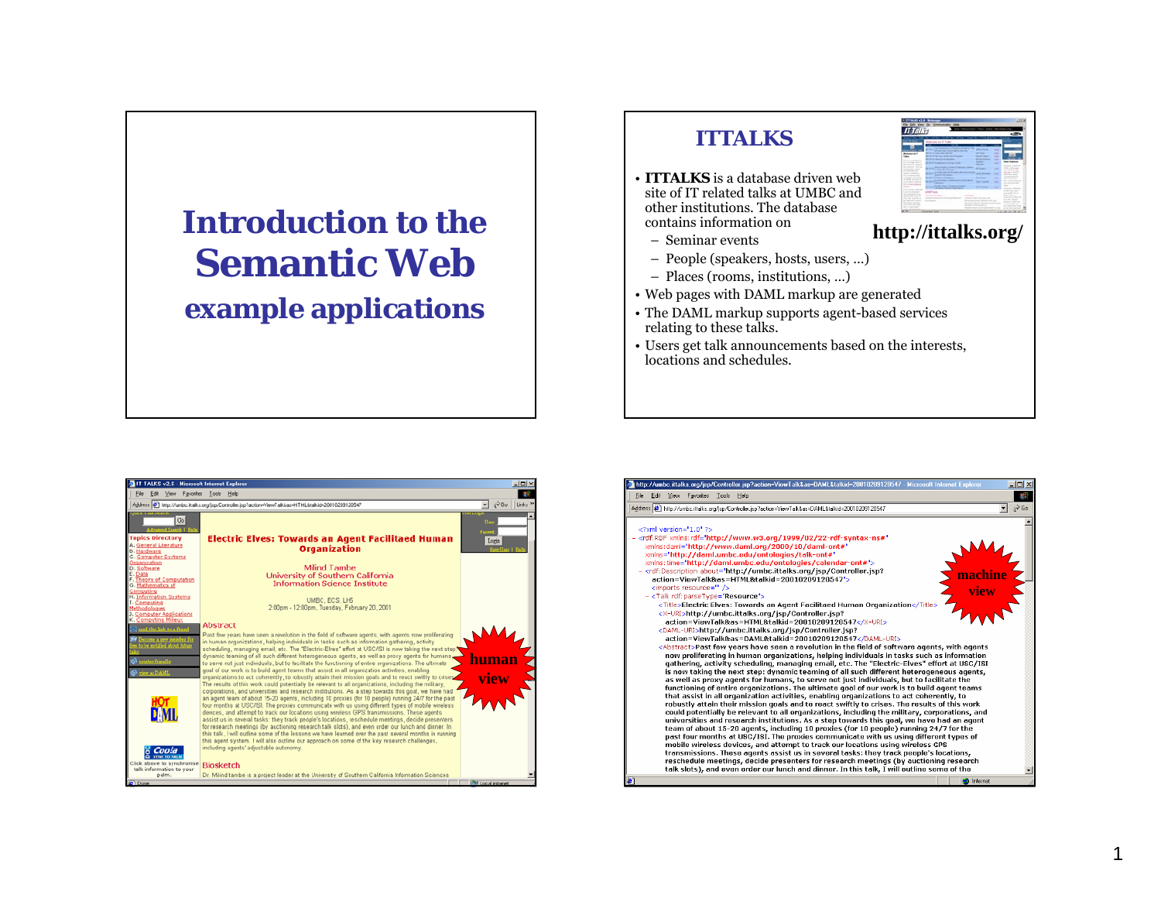## **Introduction to theSemantic Webexample applications**

## **ITTALKS**

- **ITTALKS** is a database driven website of IT related talks at UMBC andother institutions. The database contains information on
	- Seminar events
	- People (speakers, hosts, users, …)
	- Places (rooms, institutions, …)
- Web pages with DAML markup are generated
- The DAML markup supports agent-based services relating to these talks.
- Users get talk announcements based on the interests, locations and schedules.





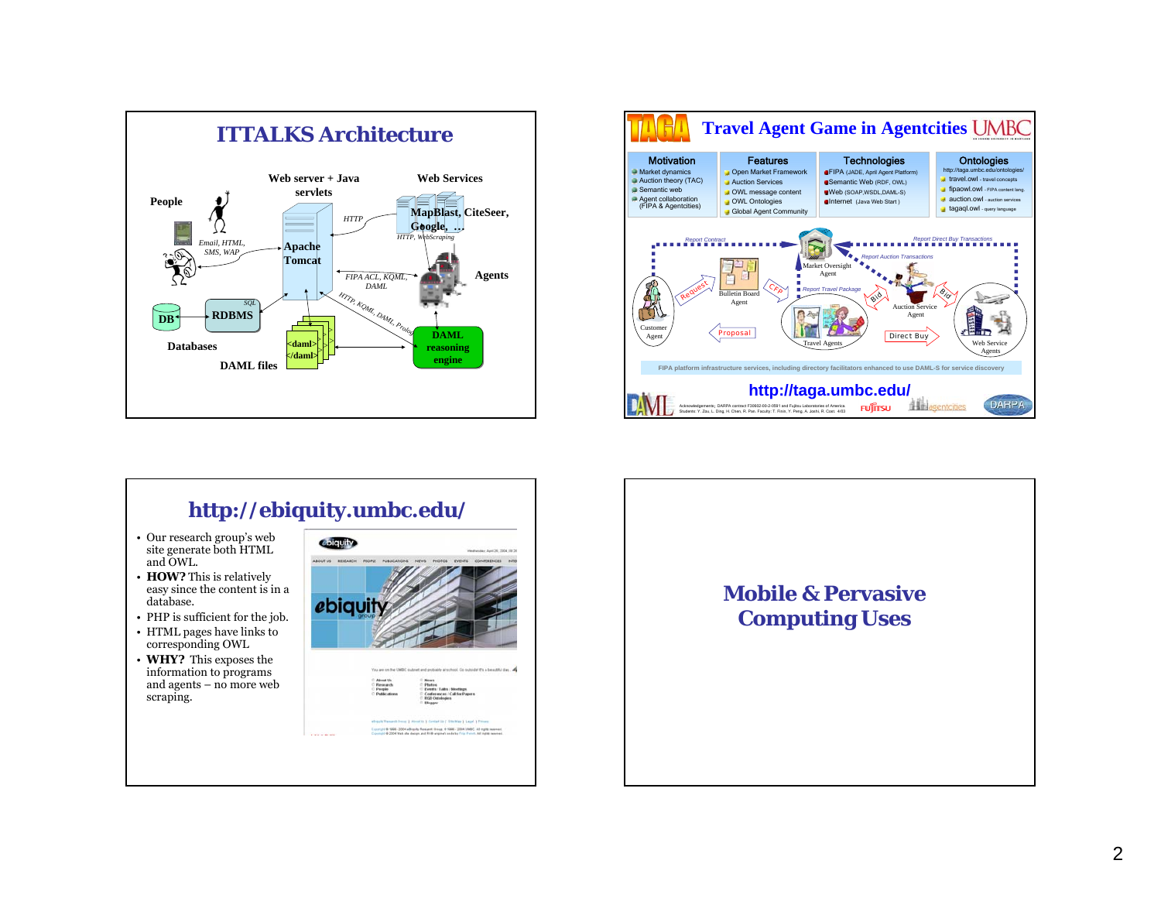



## **http://ebiquity.umbc.edu/**

- Our research group's web site generate both HTML and OWL.
- **HOW?** This is relatively easy since the content is in a database.
- PHP is sufficient for the job.
- HTML pages have links to corresponding OWL
- **WHY?** This exposes the information to programs and agents – no more web scraping.



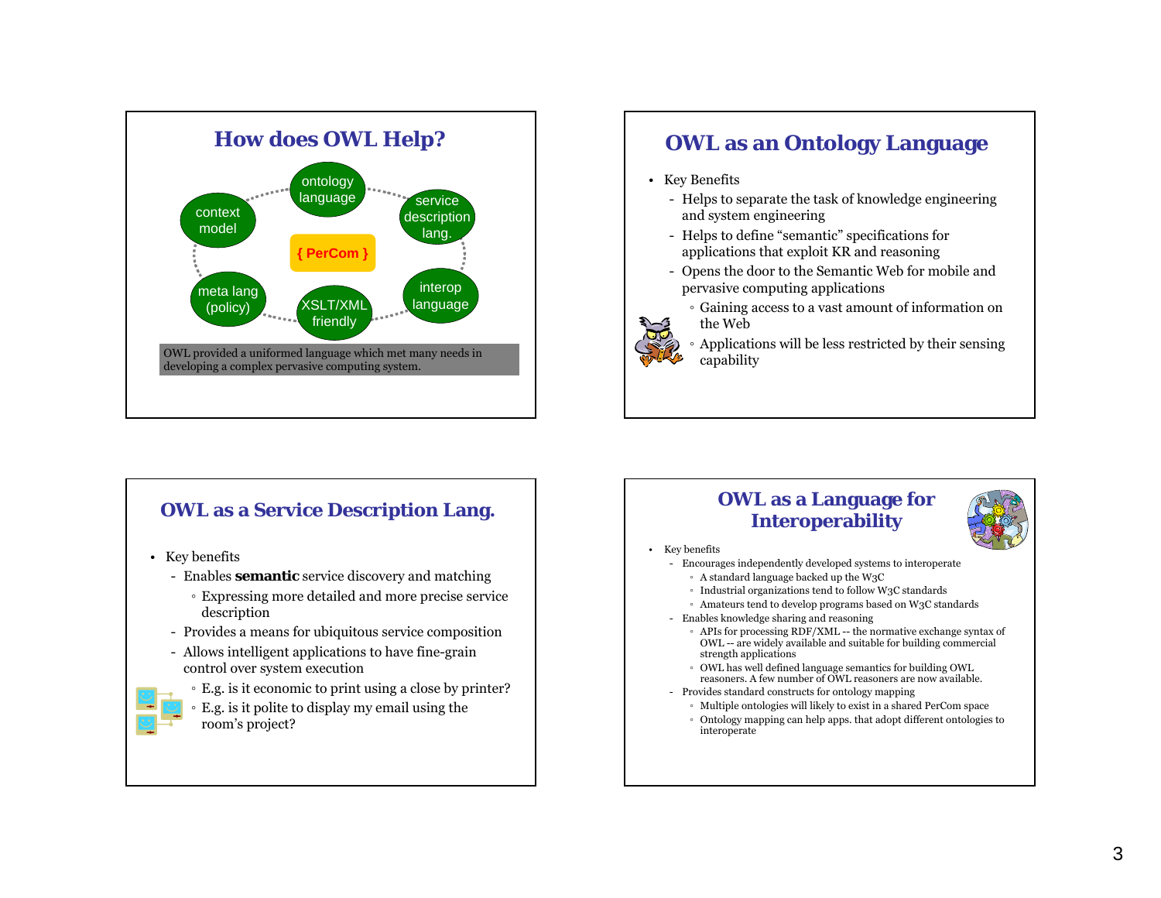

## **OWL as an Ontology Language**

- Key Benefits
	- Helps to separate the task of knowledge engineering and system engineering
	- Helps to define "semantic" specifications for applications that exploit KR and reasoning
	- Opens the door to the Semantic Web for mobile and pervasive computing applications
		- Gaining access to a vast amount of information on the Web
		- Applications will be less restricted by their sensing capability

- Key benefits
	- Enables **semantic** service discovery and matching
		- Expressing more detailed and more precise service description
	- Provides a means for ubiquitous service composition
	- Allows intelligent applications to have fine-grain control over system execution



- E.g. is it economic to print using a close by printer?
- E.g. is it polite to display my email using the room's project?

# **OWL as a Service Description Lang. OWL as a Language for Interoperability**



#### Key benefits

•

- Encourages independently developed systems to interoperate
	- A standard language backed up the W3C
	- Industrial organizations tend to follow W3C standards
	- Amateurs tend to develop programs based on W3C standards
- Enables knowledge sharing and reasoning
	- APIs for processing RDF/XML -- the normative exchange syntax of OWL -- are widely available and suitable for building commercial strength applications
	- OWL has well defined language semantics for building OWL reasoners. A few number of OWL reasoners are now available.
- Provides standard constructs for ontology mapping
	- Multiple ontologies will likely to exist in a shared PerCom space
	- Ontology mapping can help apps. that adopt different ontologies to interoperate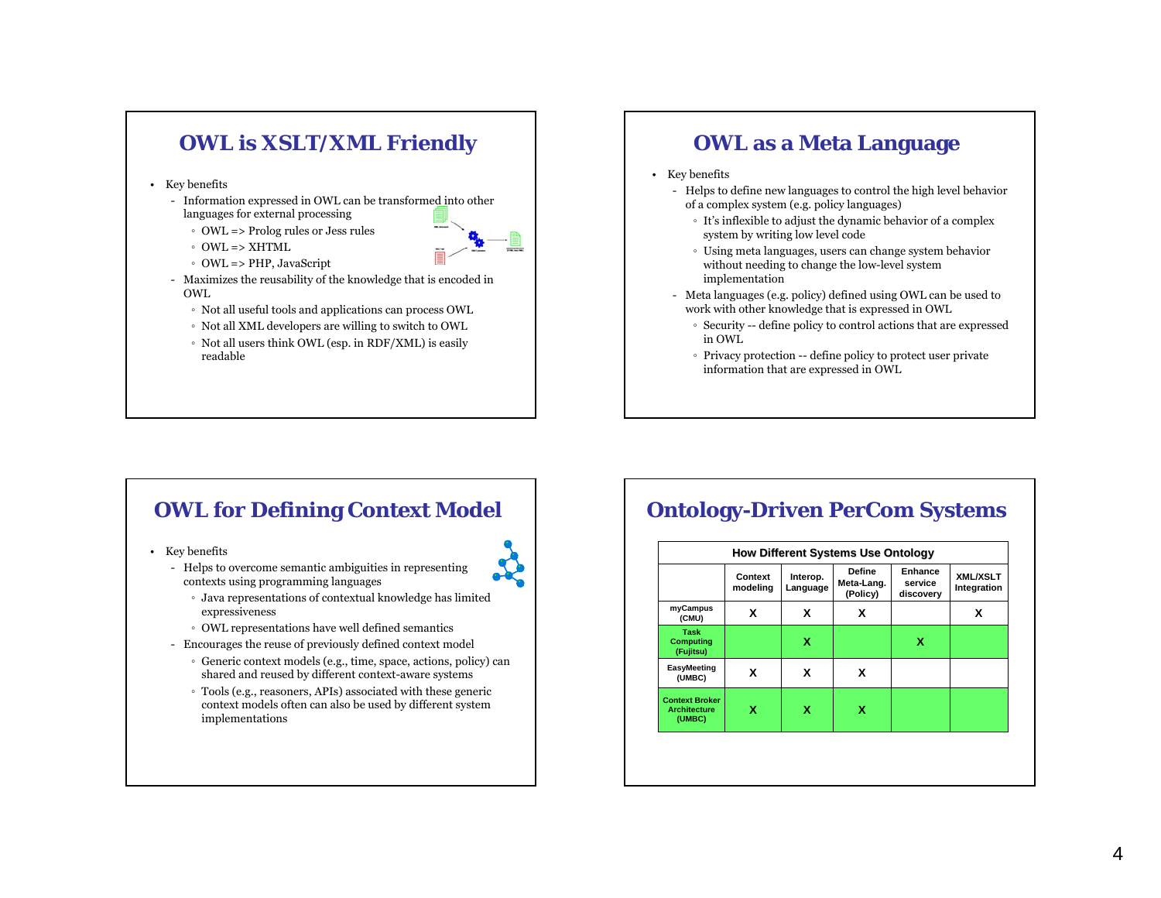

- Key benefits
	- Information expressed in OWL can be transformed into other languages for external processing
		- OWL => Prolog rules or Jess rules
		- OWL => XHTML
		- OWL => PHP, JavaScript
	- Maximizes the reusability of the knowledge that is encoded in OWL
		- Not all useful tools and applications can process OWL
		- Not all XML developers are willing to switch to OWL
		- Not all users think OWL (esp. in RDF/XML) is easily readable

### **OWL as a Meta Language**

- Key benefits
	- Helps to define new languages to control the high level behavior of a complex system (e.g. policy languages)
		- It's inflexible to adjust the dynamic behavior of a complex system by writing low level code
		- Using meta languages, users can change system behavior without needing to change the low-level system implementation
	- Meta languages (e.g. policy) defined using OWL can be used to work with other knowledge that is expressed in OWL
		- Security -- define policy to control actions that are expressed in OWL
		- Privacy protection -- define policy to protect user private information that are expressed in OWL

## **OWL for Defining Context Model**

- Key benefits
	- Helps to overcome semantic ambiguities in representing contexts using programming languages
		- Java representations of contextual knowledge has limited expressiveness
		- OWL representations have well defined semantics
	- Encourages the reuse of previously defined context model
		- Generic context models (e.g., time, space, actions, policy) can shared and reused by different context-aware systems
		- Tools (e.g., reasoners, APIs) associated with these generic context models often can also be used by different system implementations

## **Ontology-Driven PerCom Systems**

|                                                        | Context<br>modeling | Interop.<br>Language | <b>Define</b><br>Meta-Lang.<br>(Policy) | Enhance<br>service<br>discovery | <b>XML/XSLT</b><br>Integration |
|--------------------------------------------------------|---------------------|----------------------|-----------------------------------------|---------------------------------|--------------------------------|
| myCampus<br>(CMU)                                      | x                   | x                    | x                                       |                                 | x                              |
| Task<br><b>Computing</b><br>(Fujitsu)                  |                     | х                    |                                         | x                               |                                |
| <b>EasyMeeting</b><br>(UMBC)                           | x                   | x                    | x                                       |                                 |                                |
| <b>Context Broker</b><br><b>Architecture</b><br>(UMBC) | x                   | х                    | x                                       |                                 |                                |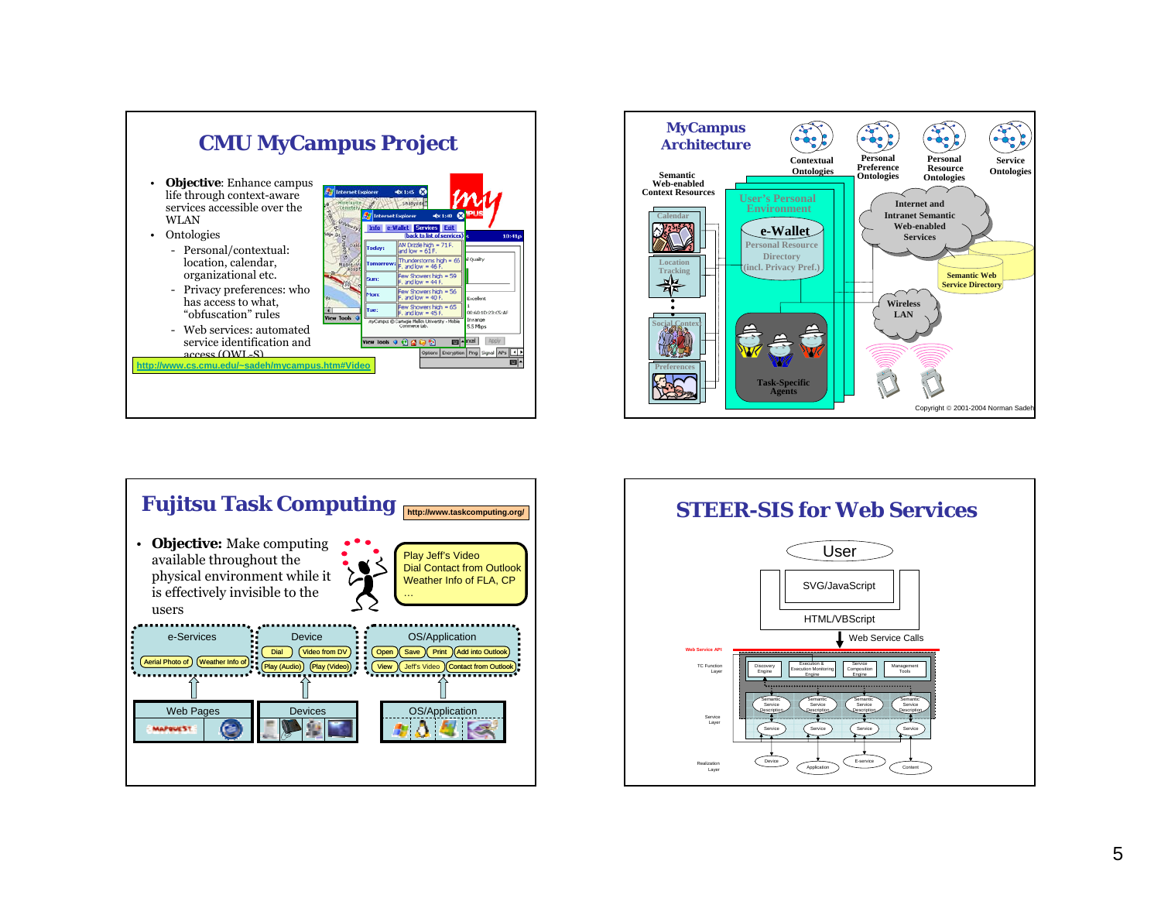





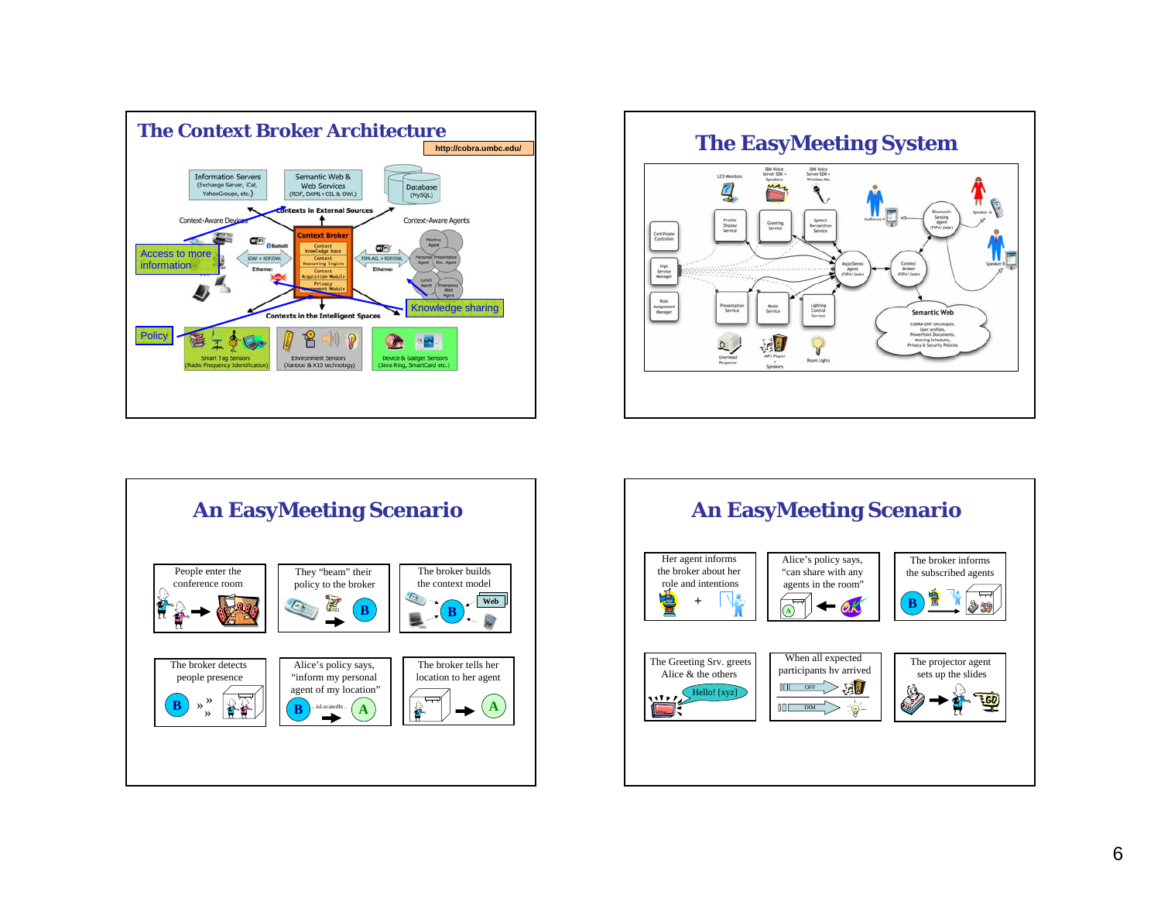